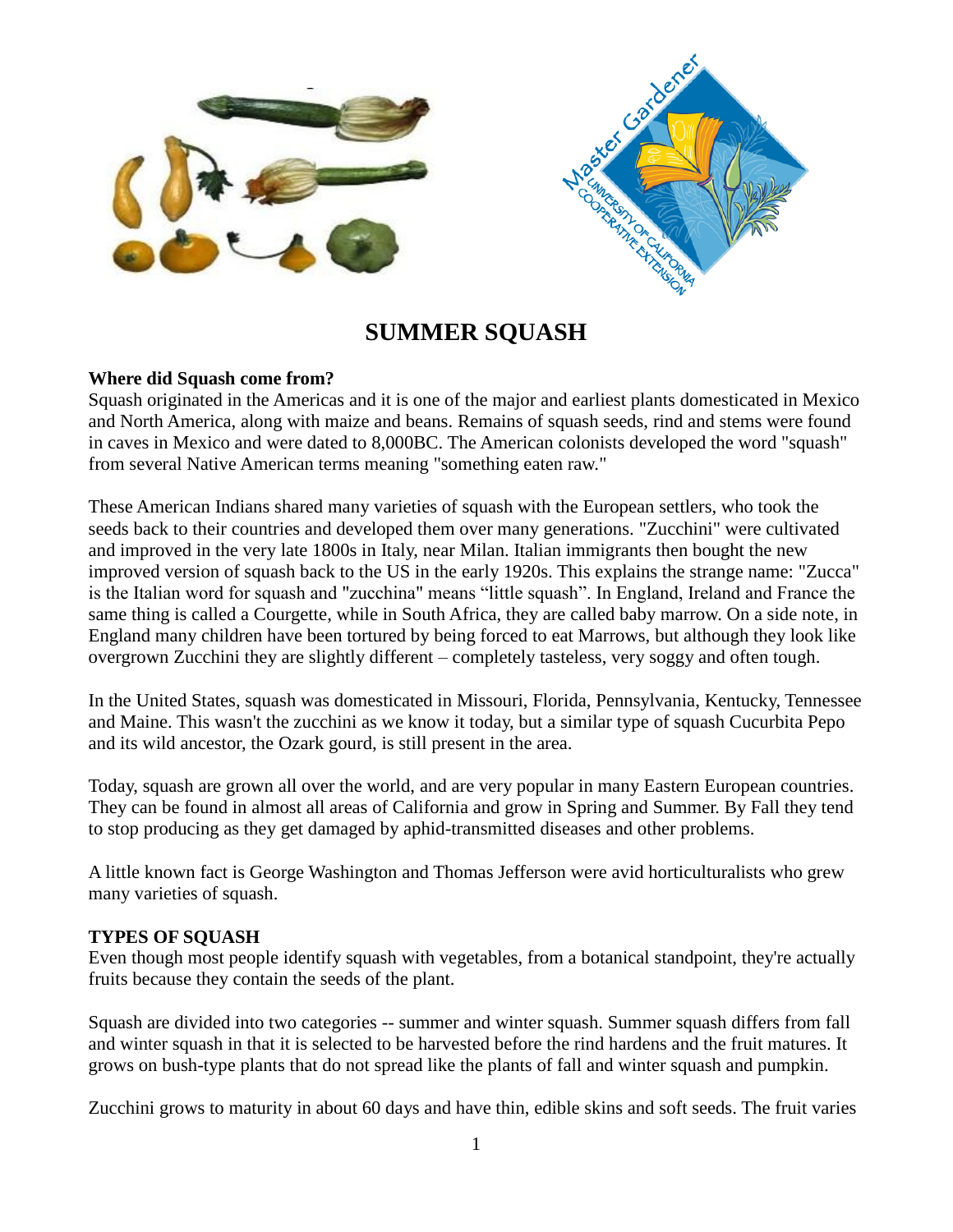

# **SUMMER SQUASH**

# **Where did Squash come from?**

Squash originated in the Americas and it is one of the major and earliest plants domesticated in Mexico and North America, along with maize and beans. Remains of squash seeds, rind and stems were found in caves in Mexico and were dated to 8,000BC. The American colonists developed the word "squash" from several Native American terms meaning "something eaten raw."

These American Indians shared many varieties of squash with the European settlers, who took the seeds back to their countries and developed them over many generations. "Zucchini" were cultivated and improved in the very late 1800s in Italy, near Milan. Italian immigrants then bought the new improved version of squash back to the US in the early 1920s. This explains the strange name: "Zucca" is the Italian word for squash and "zucchina" means "little squash". In England, Ireland and France the same thing is called a Courgette, while in South Africa, they are called baby marrow. On a side note, in England many children have been tortured by being forced to eat Marrows, but although they look like overgrown Zucchini they are slightly different – completely tasteless, very soggy and often tough.

In the United States, squash was domesticated in Missouri, Florida, Pennsylvania, Kentucky, Tennessee and Maine. This wasn't the zucchini as we know it today, but a similar type of squash Cucurbita Pepo and its wild ancestor, the Ozark gourd, is still present in the area.

Today, squash are grown all over the world, and are very popular in many Eastern European countries. They can be found in almost all areas of California and grow in Spring and Summer. By Fall they tend to stop producing as they get damaged by aphid-transmitted diseases and other problems.

A little known fact is George Washington and Thomas Jefferson were avid horticulturalists who grew many varieties of squash.

# **TYPES OF SQUASH**

Even though most people identify squash with vegetables, from a botanical standpoint, they're actually fruits because they contain the seeds of the plant.

Squash are divided into two categories -- summer and winter squash. Summer squash differs from fall and winter squash in that it is selected to be harvested before the rind hardens and the fruit matures. It grows on bush-type plants that do not spread like the plants of fall and winter squash and pumpkin.

Zucchini grows to maturity in about 60 days and have thin, edible skins and soft seeds. The fruit varies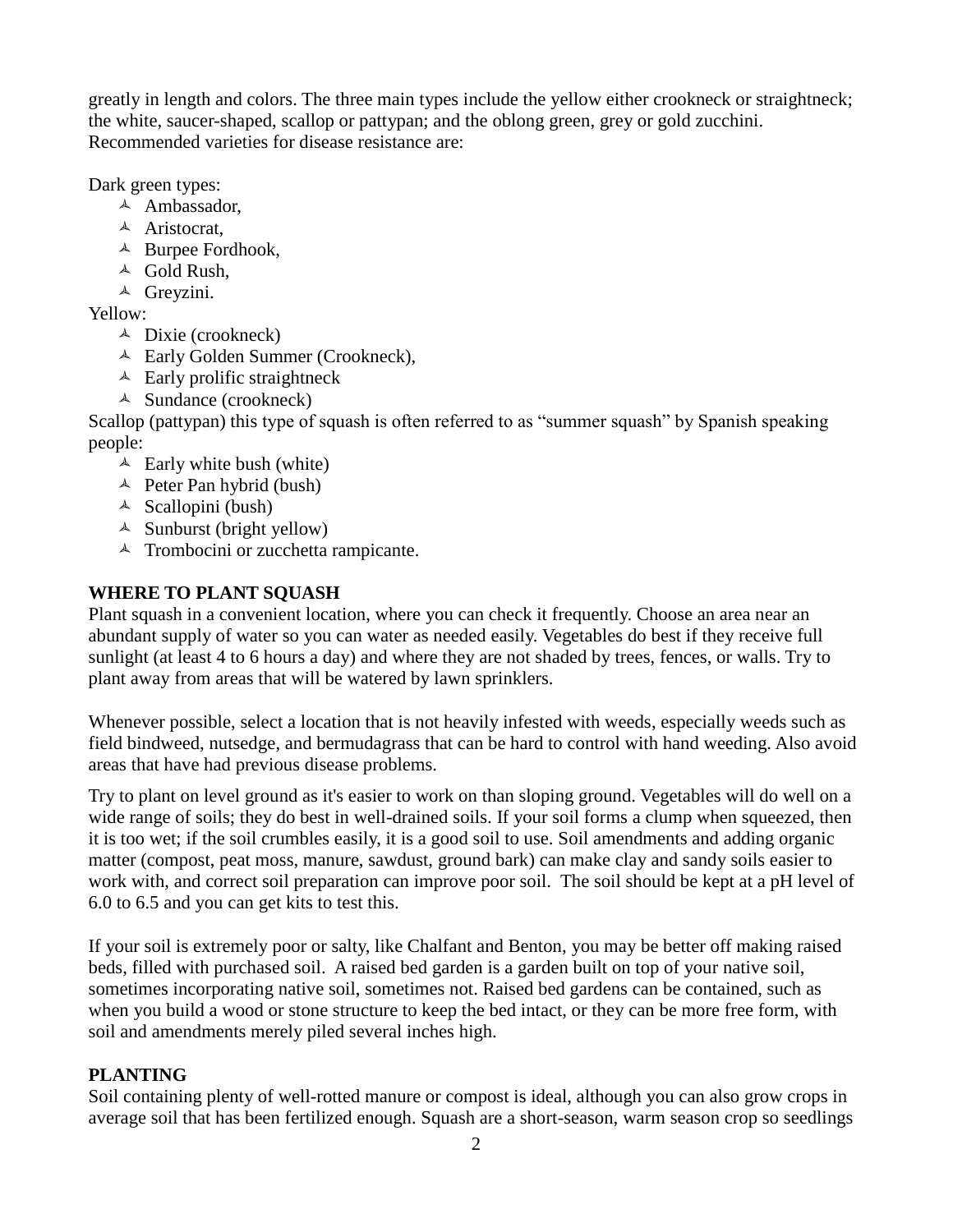greatly in length and colors. The three main types include the yellow either crookneck or straightneck; the white, saucer-shaped, scallop or pattypan; and the oblong green, grey or gold zucchini. Recommended varieties for disease resistance are:

Dark green types:

- $\triangle$  Ambassador,
- <sup> $\triangle$ </sup> Aristocrat,
- $\triangle$  Burpee Fordhook,
- $\triangle$  Gold Rush.
- <sup> $\triangle$ </sup> Grevzini.

Yellow:

- $\triangle$  Dixie (crookneck)
- Early Golden Summer (Crookneck),
- $\triangle$  Early prolific straightneck
- $\triangle$  Sundance (crookneck)

Scallop (pattypan) this type of squash is often referred to as "summer squash" by Spanish speaking people:

- $\triangle$  Early white bush (white)
- $\triangle$  Peter Pan hybrid (bush)
- $\triangle$  Scallopini (bush)
- $\triangle$  Sunburst (bright yellow)
- <sup> $\triangle$ </sup> Trombocini or zucchetta rampicante.

# **WHERE TO PLANT SQUASH**

Plant squash in a convenient location, where you can check it frequently. Choose an area near an abundant supply of water so you can water as needed easily. Vegetables do best if they receive full sunlight (at least 4 to 6 hours a day) and where they are not shaded by trees, fences, or walls. Try to plant away from areas that will be watered by lawn sprinklers.

Whenever possible, select a location that is not heavily infested with weeds, especially weeds such as field bindweed, nutsedge, and bermudagrass that can be hard to control with hand weeding. Also avoid areas that have had previous disease problems.

Try to plant on level ground as it's easier to work on than sloping ground. Vegetables will do well on a wide range of soils; they do best in well-drained soils. If your soil forms a clump when squeezed, then it is too wet; if the soil crumbles easily, it is a good soil to use. Soil amendments and adding organic matter (compost, peat moss, manure, sawdust, ground bark) can make clay and sandy soils easier to work with, and correct soil preparation can improve poor soil. The soil should be kept at a pH level of 6.0 to 6.5 and you can get kits to test this.

If your soil is extremely poor or salty, like Chalfant and Benton, you may be better off making raised beds, filled with purchased soil. A raised bed garden is a garden built on top of your native soil, sometimes incorporating native soil, sometimes not. Raised bed gardens can be contained, such as when you build a wood or stone structure to keep the bed intact, or they can be more free form, with soil and amendments merely piled several inches high.

# **PLANTING**

Soil containing plenty of well-rotted manure or compost is ideal, although you can also grow crops in average soil that has been fertilized enough. Squash are a short-season, warm season crop so seedlings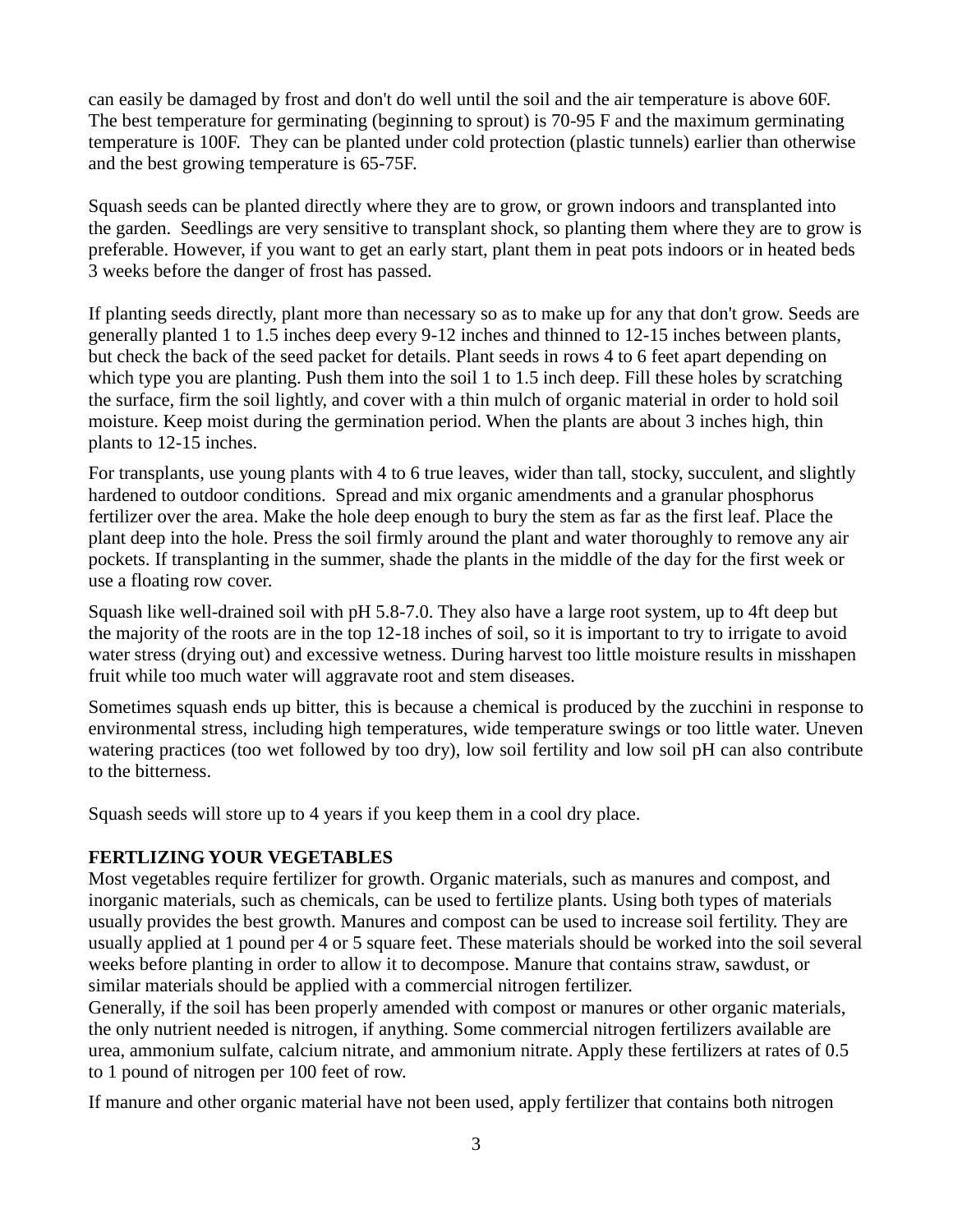can easily be damaged by frost and don't do well until the soil and the air temperature is above 60F. The best temperature for germinating (beginning to sprout) is 70-95 F and the maximum germinating temperature is 100F. They can be planted under cold protection (plastic tunnels) earlier than otherwise and the best growing temperature is 65-75F.

Squash seeds can be planted directly where they are to grow, or grown indoors and transplanted into the garden. Seedlings are very sensitive to transplant shock, so planting them where they are to grow is preferable. However, if you want to get an early start, plant them in peat pots indoors or in heated beds 3 weeks before the danger of frost has passed.

If planting seeds directly, plant more than necessary so as to make up for any that don't grow. Seeds are generally planted 1 to 1.5 inches deep every 9-12 inches and thinned to 12-15 inches between plants, but check the back of the seed packet for details. Plant seeds in rows 4 to 6 feet apart depending on which type you are planting. Push them into the soil 1 to 1.5 inch deep. Fill these holes by scratching the surface, firm the soil lightly, and cover with a thin mulch of organic material in order to hold soil moisture. Keep moist during the germination period. When the plants are about 3 inches high, thin plants to 12-15 inches.

For transplants, use young plants with 4 to 6 true leaves, wider than tall, stocky, succulent, and slightly hardened to outdoor conditions. Spread and mix organic amendments and a granular phosphorus fertilizer over the area. Make the hole deep enough to bury the stem as far as the first leaf. Place the plant deep into the hole. Press the soil firmly around the plant and water thoroughly to remove any air pockets. If transplanting in the summer, shade the plants in the middle of the day for the first week or use a floating row cover.

Squash like well-drained soil with pH 5.8-7.0. They also have a large root system, up to 4ft deep but the majority of the roots are in the top 12-18 inches of soil, so it is important to try to irrigate to avoid water stress (drying out) and excessive wetness. During harvest too little moisture results in misshapen fruit while too much water will aggravate root and stem diseases.

Sometimes squash ends up bitter, this is because a chemical is produced by the zucchini in response to environmental stress, including high temperatures, wide temperature swings or too little water. Uneven watering practices (too wet followed by too dry), low soil fertility and low soil pH can also contribute to the bitterness.

Squash seeds will store up to 4 years if you keep them in a cool dry place.

#### **FERTLIZING YOUR VEGETABLES**

Most vegetables require fertilizer for growth. Organic materials, such as manures and compost, and inorganic materials, such as chemicals, can be used to fertilize plants. Using both types of materials usually provides the best growth. Manures and compost can be used to increase soil fertility. They are usually applied at 1 pound per 4 or 5 square feet. These materials should be worked into the soil several weeks before planting in order to allow it to decompose. Manure that contains straw, sawdust, or similar materials should be applied with a commercial nitrogen fertilizer.

Generally, if the soil has been properly amended with compost or manures or other organic materials, the only nutrient needed is nitrogen, if anything. Some commercial nitrogen fertilizers available are urea, ammonium sulfate, calcium nitrate, and ammonium nitrate. Apply these fertilizers at rates of 0.5 to 1 pound of nitrogen per 100 feet of row.

If manure and other organic material have not been used, apply fertilizer that contains both nitrogen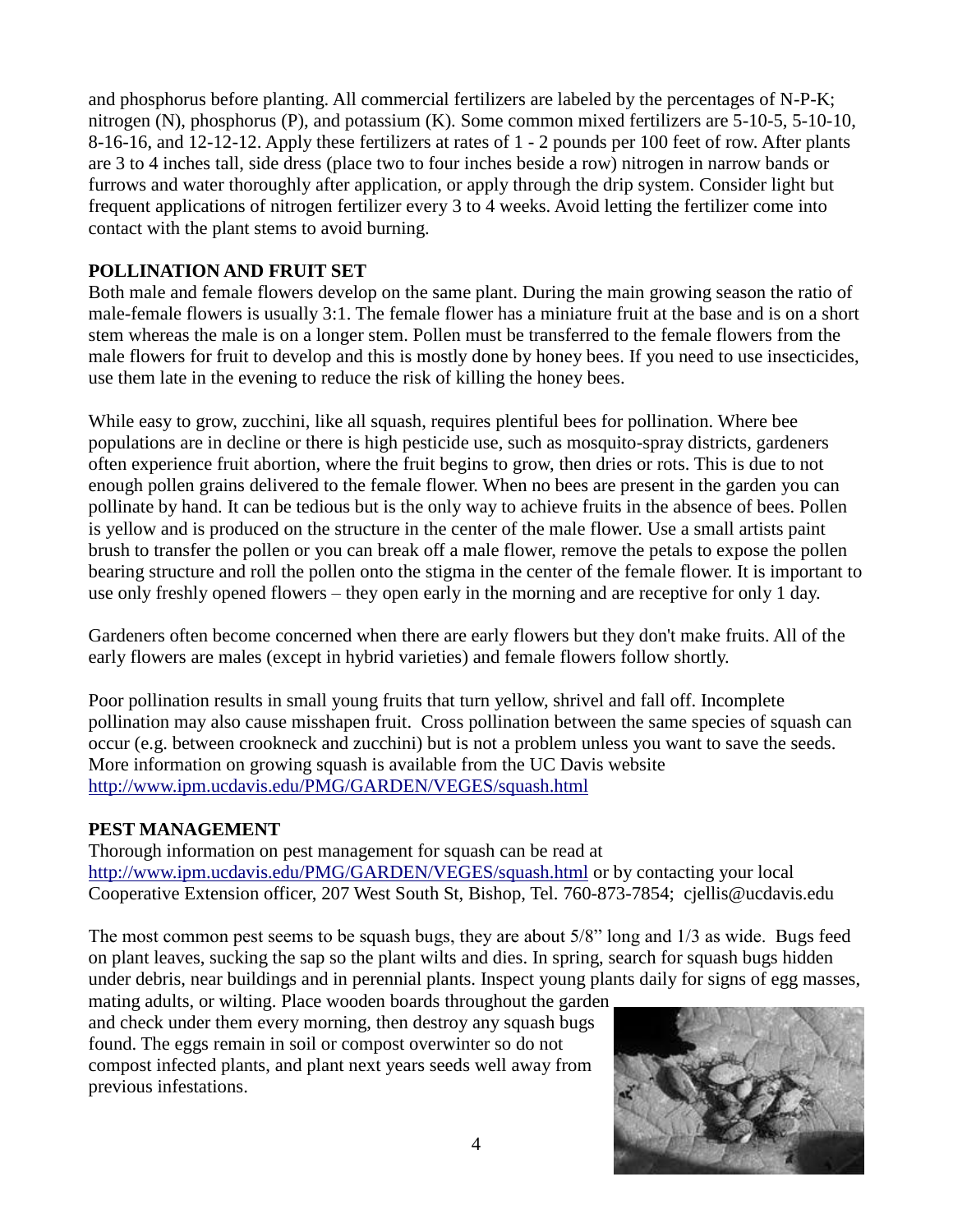and phosphorus before planting. All commercial fertilizers are labeled by the percentages of N-P-K; nitrogen (N), phosphorus (P), and potassium (K). Some common mixed fertilizers are 5-10-5, 5-10-10, 8-16-16, and 12-12-12. Apply these fertilizers at rates of 1 - 2 pounds per 100 feet of row. After plants are 3 to 4 inches tall, side dress (place two to four inches beside a row) nitrogen in narrow bands or furrows and water thoroughly after application, or apply through the drip system. Consider light but frequent applications of nitrogen fertilizer every 3 to 4 weeks. Avoid letting the fertilizer come into contact with the plant stems to avoid burning.

# **POLLINATION AND FRUIT SET**

Both male and female flowers develop on the same plant. During the main growing season the ratio of male-female flowers is usually 3:1. The female flower has a miniature fruit at the base and is on a short stem whereas the male is on a longer stem. Pollen must be transferred to the female flowers from the male flowers for fruit to develop and this is mostly done by honey bees. If you need to use insecticides, use them late in the evening to reduce the risk of killing the honey bees.

While easy to grow, zucchini, like all squash, requires plentiful bees for pollination. Where bee populations are in decline or there is high pesticide use, such as mosquito-spray districts, gardeners often experience fruit abortion, where the fruit begins to grow, then dries or rots. This is due to not enough pollen grains delivered to the female flower. When no bees are present in the garden you can pollinate by hand. It can be tedious but is the only way to achieve fruits in the absence of bees. Pollen is yellow and is produced on the structure in the center of the male flower. Use a small artists paint brush to transfer the pollen or you can break off a male flower, remove the petals to expose the pollen bearing structure and roll the pollen onto the stigma in the center of the female flower. It is important to use only freshly opened flowers – they open early in the morning and are receptive for only 1 day.

Gardeners often become concerned when there are early flowers but they don't make fruits. All of the early flowers are males (except in hybrid varieties) and female flowers follow shortly.

Poor pollination results in small young fruits that turn yellow, shrivel and fall off. Incomplete pollination may also cause misshapen fruit. Cross pollination between the same species of squash can occur (e.g. between crookneck and zucchini) but is not a problem unless you want to save the seeds. More information on growing squash is available from the UC Davis website <http://www.ipm.ucdavis.edu/PMG/GARDEN/VEGES/squash.html>

# **PEST MANAGEMENT**

Thorough information on pest management for squash can be read at <http://www.ipm.ucdavis.edu/PMG/GARDEN/VEGES/squash.html> or by contacting your local Cooperative Extension officer, 207 West South St, Bishop, Tel. 760-873-7854; cjellis@ucdavis.edu

The most common pest seems to be squash bugs, they are about 5/8" long and 1/3 as wide. Bugs feed on plant leaves, sucking the sap so the plant wilts and dies. In spring, search for squash bugs hidden under debris, near buildings and in perennial plants. Inspect young plants daily for signs of egg masses,

mating adults, or wilting. Place wooden boards throughout the garden and check under them every morning, then destroy any squash bugs found. The eggs remain in soil or compost overwinter so do not compost infected plants, and plant next years seeds well away from previous infestations.

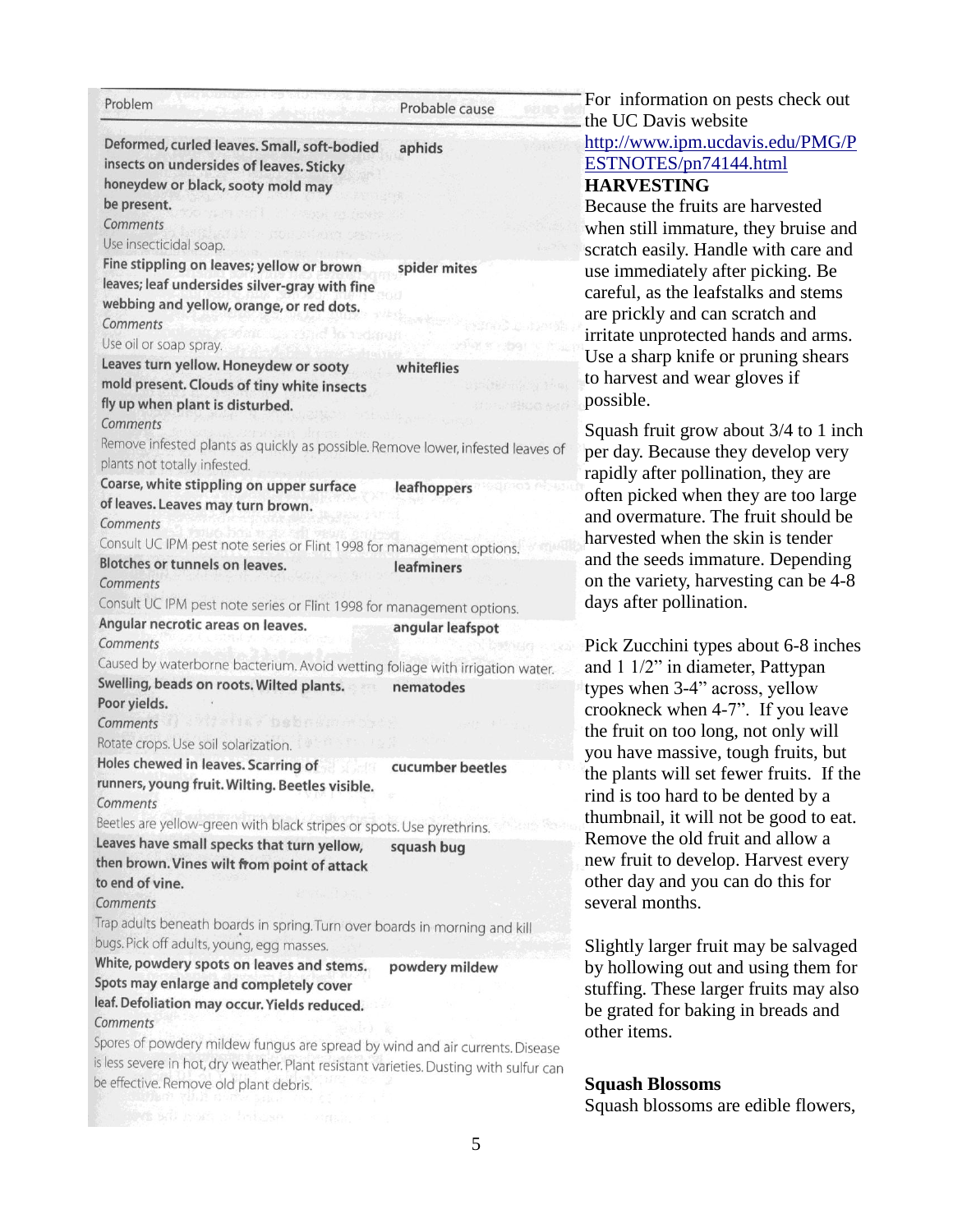| Problem                                                                                                                                                                                                                      | Probable cause             |
|------------------------------------------------------------------------------------------------------------------------------------------------------------------------------------------------------------------------------|----------------------------|
| Deformed, curled leaves. Small, soft-bodied<br>insects on undersides of leaves. Sticky<br>honeydew or black, sooty mold may<br>be present.<br>Comments                                                                       | aphids                     |
| Use insecticidal soap.                                                                                                                                                                                                       |                            |
| Fine stippling on leaves; yellow or brown<br>leaves; leaf undersides silver-gray with fine<br>webbing and yellow, orange, or red dots.<br>Comments                                                                           | spider mites               |
| Use oil or soap spray.                                                                                                                                                                                                       | <b>Reform</b>              |
| Leaves turn yellow. Honeydew or sooty                                                                                                                                                                                        |                            |
| mold present. Clouds of tiny white insects<br>fly up when plant is disturbed.<br>Comments                                                                                                                                    | whiteflies<br>· / 电接收器 多点的 |
| Remove infested plants as quickly as possible. Remove lower, infested leaves of<br>plants not totally infested.                                                                                                              |                            |
| Coarse, white stippling on upper surface                                                                                                                                                                                     | leafhoppers                |
| of leaves. Leaves may turn brown.                                                                                                                                                                                            |                            |
| Comments                                                                                                                                                                                                                     |                            |
| Consult UC IPM pest note series or Flint 1998 for management options.                                                                                                                                                        |                            |
| Blotches or tunnels on leaves.<br>Comments                                                                                                                                                                                   | leafminers                 |
| Consult UC IPM pest note series or Flint 1998 for management options.                                                                                                                                                        |                            |
| Angular necrotic areas on leaves.<br>Comments                                                                                                                                                                                | angular leafspot           |
| Caused by waterborne bacterium. Avoid wetting foliage with irrigation water.                                                                                                                                                 |                            |
| Swelling, beads on roots. Wilted plants.<br>Poor yields.                                                                                                                                                                     | nematodes                  |
| Wiedła Dobnaro<br>Comments                                                                                                                                                                                                   |                            |
| Rotate crops. Use soil solarization.                                                                                                                                                                                         |                            |
| Holes chewed in leaves. Scarring of                                                                                                                                                                                          | cucumber beetles           |
| runners, young fruit. Wilting. Beetles visible.<br>Comments                                                                                                                                                                  |                            |
| Beetles are yellow-green with black stripes or spots. Use pyrethrins.                                                                                                                                                        |                            |
| Leaves have small specks that turn yellow,                                                                                                                                                                                   | squash bug                 |
| then brown. Vines wilt from point of attack<br>to end of vine.                                                                                                                                                               |                            |
| Comments                                                                                                                                                                                                                     |                            |
| Trap adults beneath boards in spring. Turn over boards in morning and kill<br>bugs. Pick off adults, young, egg masses.                                                                                                      |                            |
| White, powdery spots on leaves and stems.<br>Spots may enlarge and completely cover                                                                                                                                          | powdery mildew             |
| leaf. Defoliation may occur. Yields reduced.                                                                                                                                                                                 |                            |
| Comments<br>Spores of powdery mildew fungus are spread by wind and air currents. Disease<br>is less severe in hot, dry weather. Plant resistant varieties. Dusting with sulfur can<br>be effective. Remove old plant debris. |                            |
|                                                                                                                                                                                                                              |                            |

For information on pests check out the UC Davis website [http://www.ipm.ucdavis.edu/PMG/P](http://www.ipm.ucdavis.edu/PMG/PESTNOTES/pn74144.html) [ESTNOTES/pn74144.html](http://www.ipm.ucdavis.edu/PMG/PESTNOTES/pn74144.html) **HARVESTING**

Because the fruits are harvested when still immature, they bruise and scratch easily. Handle with care and use immediately after picking. Be careful, as the leafstalks and stems are prickly and can scratch and irritate unprotected hands and arms. Use a sharp knife or pruning shears to harvest and wear gloves if possible.

Squash fruit grow about 3/4 to 1 inch per day. Because they develop very rapidly after pollination, they are often picked when they are too large and overmature. The fruit should be harvested when the skin is tender and the seeds immature. Depending on the variety, harvesting can be 4-8 days after pollination.

Pick Zucchini types about 6-8 inches and 1 1/2" in diameter, Pattypan types when 3-4" across, yellow crookneck when 4-7". If you leave the fruit on too long, not only will you have massive, tough fruits, but the plants will set fewer fruits. If the rind is too hard to be dented by a thumbnail, it will not be good to eat. Remove the old fruit and allow a new fruit to develop. Harvest every other day and you can do this for several months.

Slightly larger fruit may be salvaged by hollowing out and using them for stuffing. These larger fruits may also be grated for baking in breads and other items.

#### **Squash Blossoms**

Squash blossoms are edible flowers,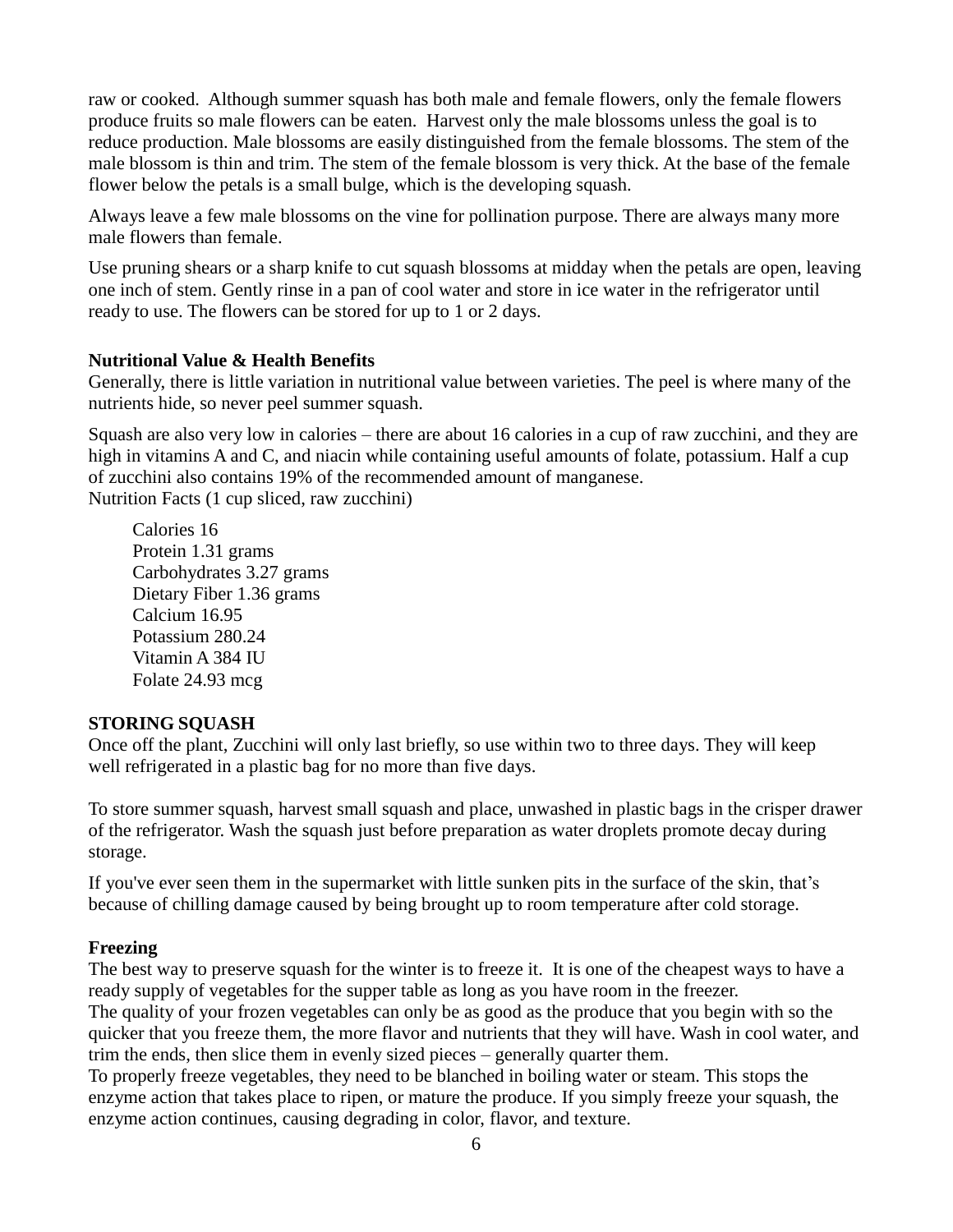raw or cooked. Although summer squash has both male and female flowers, only the female flowers produce fruits so male flowers can be eaten. Harvest only the male blossoms unless the goal is to reduce production. Male blossoms are easily distinguished from the female blossoms. The stem of the male blossom is thin and trim. The stem of the female blossom is very thick. At the base of the female flower below the petals is a small bulge, which is the developing squash.

Always leave a few male blossoms on the vine for pollination purpose. There are always many more male flowers than female.

Use pruning shears or a sharp knife to cut squash blossoms at midday when the petals are open, leaving one inch of stem. Gently rinse in a pan of cool water and store in ice water in the refrigerator until ready to use. The flowers can be stored for up to 1 or 2 days.

#### **Nutritional Value & Health Benefits**

Generally, there is little variation in nutritional value between varieties. The peel is where many of the nutrients hide, so never peel summer squash.

Squash are also very low in calories – there are about 16 calories in a cup of raw zucchini, and they are high in vitamins A and C, and niacin while containing useful amounts of folate, potassium. Half a cup of zucchini also contains 19% of the recommended amount of manganese. Nutrition Facts (1 cup sliced, raw zucchini)

Calories 16 Protein 1.31 grams Carbohydrates 3.27 grams Dietary Fiber 1.36 grams Calcium 16.95 Potassium 280.24 Vitamin A 384 IU Folate 24.93 mcg

# **STORING SQUASH**

Once off the plant, Zucchini will only last briefly, so use within two to three days. They will keep well refrigerated in a plastic bag for no more than five days.

To store summer squash, harvest small squash and place, unwashed in plastic bags in the crisper drawer of the refrigerator. Wash the squash just before preparation as water droplets promote decay during storage.

If you've ever seen them in the supermarket with little sunken pits in the surface of the skin, that's because of chilling damage caused by being brought up to room temperature after cold storage.

# **Freezing**

The best way to preserve squash for the winter is to freeze it. It is one of the cheapest ways to have a ready supply of vegetables for the supper table as long as you have room in the freezer. The quality of your frozen vegetables can only be as good as the produce that you begin with so the

quicker that you freeze them, the more flavor and nutrients that they will have. Wash in cool water, and trim the ends, then slice them in evenly sized pieces – generally quarter them.

To properly freeze vegetables, they need to be blanched in boiling water or steam. This stops the enzyme action that takes place to ripen, or mature the produce. If you simply freeze your squash, the enzyme action continues, causing degrading in color, flavor, and texture.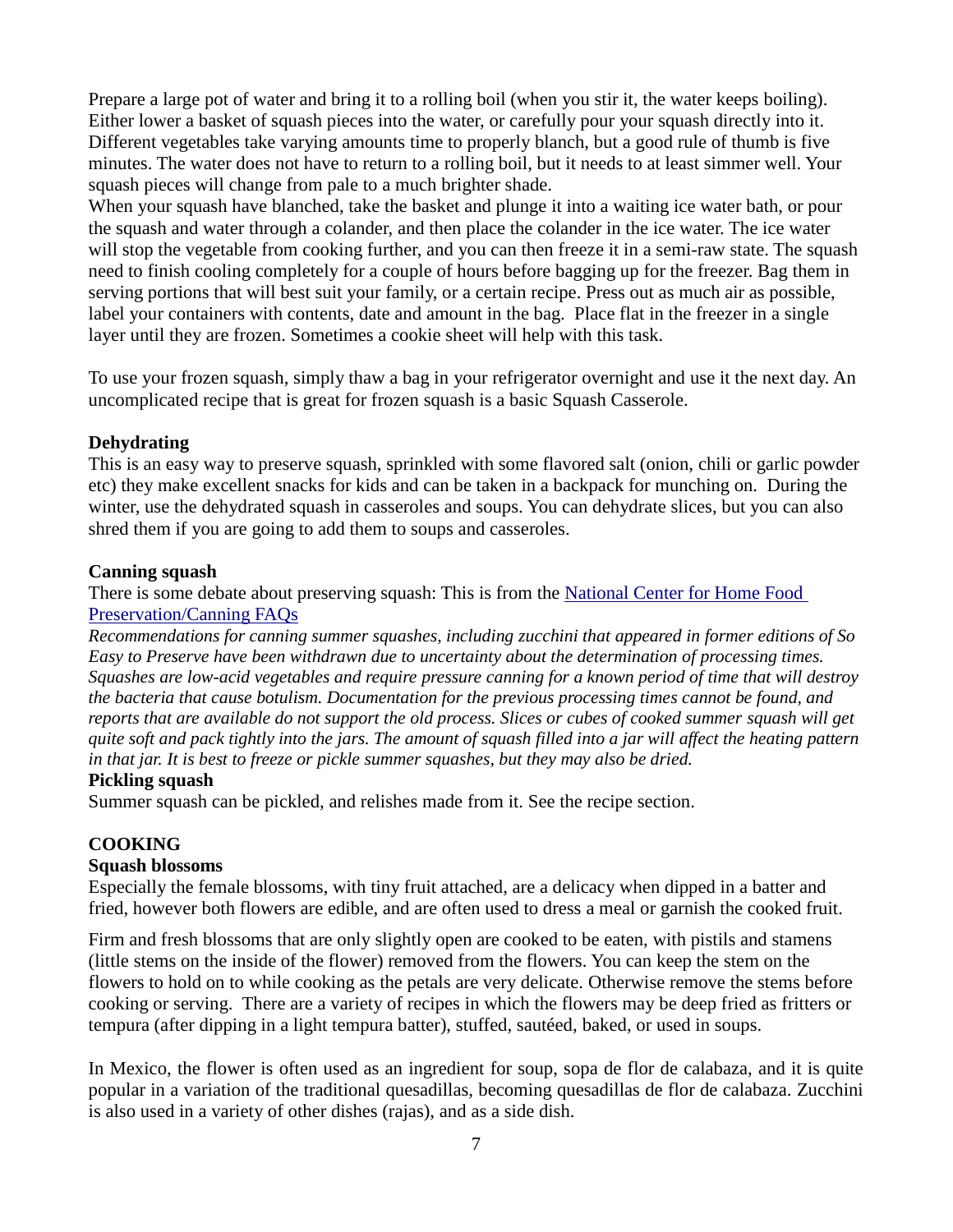Prepare a large pot of water and bring it to a rolling boil (when you stir it, the water keeps boiling). Either lower a basket of squash pieces into the water, or carefully pour your squash directly into it. Different vegetables take varying amounts time to properly blanch, but a good rule of thumb is five minutes. The water does not have to return to a rolling boil, but it needs to at least simmer well. Your squash pieces will change from pale to a much brighter shade.

When your squash have blanched, take the basket and plunge it into a waiting ice water bath, or pour the squash and water through a colander, and then place the colander in the ice water. The ice water will stop the vegetable from cooking further, and you can then freeze it in a semi-raw state. The squash need to finish cooling completely for a couple of hours before bagging up for the freezer. Bag them in serving portions that will best suit your family, or a certain recipe. Press out as much air as possible, label your containers with contents, date and amount in the bag. Place flat in the freezer in a single layer until they are frozen. Sometimes a cookie sheet will help with this task.

To use your frozen squash, simply thaw a bag in your refrigerator overnight and use it the next day. An uncomplicated recipe that is great for frozen squash is a basic Squash Casserole.

#### **Dehydrating**

This is an easy way to preserve squash, sprinkled with some flavored salt (onion, chili or garlic powder etc) they make excellent snacks for kids and can be taken in a backpack for munching on. During the winter, use the dehydrated squash in casseroles and soups. You can dehydrate slices, but you can also shred them if you are going to add them to soups and casseroles.

#### **Canning squash**

There is some debate about preserving squash: This is from the [National Center for Home Food](http://www.fyurl.com/rr.php?c=2&site=www.preparedsociety.com&url=http://www.uga.edu/nchfp/questions/FAQ_canning.html)  [Preservation/Canning FAQs](http://www.fyurl.com/rr.php?c=2&site=www.preparedsociety.com&url=http://www.uga.edu/nchfp/questions/FAQ_canning.html)

*Recommendations for canning summer squashes, including zucchini that appeared in former editions of So Easy to Preserve have been withdrawn due to uncertainty about the determination of processing times. Squashes are low-acid vegetables and require pressure canning for a known period of time that will destroy the bacteria that cause botulism. Documentation for the previous processing times cannot be found, and reports that are available do not support the old process. Slices or cubes of cooked summer squash will get quite soft and pack tightly into the jars. The amount of squash filled into a jar will affect the heating pattern in that jar. It is best to freeze or pickle summer squashes, but they may also be dried.* 

#### **Pickling squash**

Summer squash can be pickled, and relishes made from it. See the recipe section.

# **COOKING**

#### **Squash blossoms**

Especially the female blossoms, with tiny fruit attached, are a delicacy when dipped in a batter and fried, however both flowers are edible, and are often used to dress a meal or garnish the cooked fruit.

Firm and fresh blossoms that are only slightly open are cooked to be eaten, with pistils and stamens (little stems on the inside of the flower) removed from the flowers. You can keep the stem on the flowers to hold on to while cooking as the petals are very delicate. Otherwise remove the stems before cooking or serving. There are a variety of recipes in which the flowers may be deep fried as fritters or tempura (after dipping in a light tempura batter), stuffed, sautéed, baked, or used in soups.

In Mexico, the flower is often used as an ingredient for soup, sopa de flor de calabaza, and it is quite popular in a variation of the traditional quesadillas, becoming quesadillas de flor de calabaza. Zucchini is also used in a variety of other dishes (rajas), and as a side dish.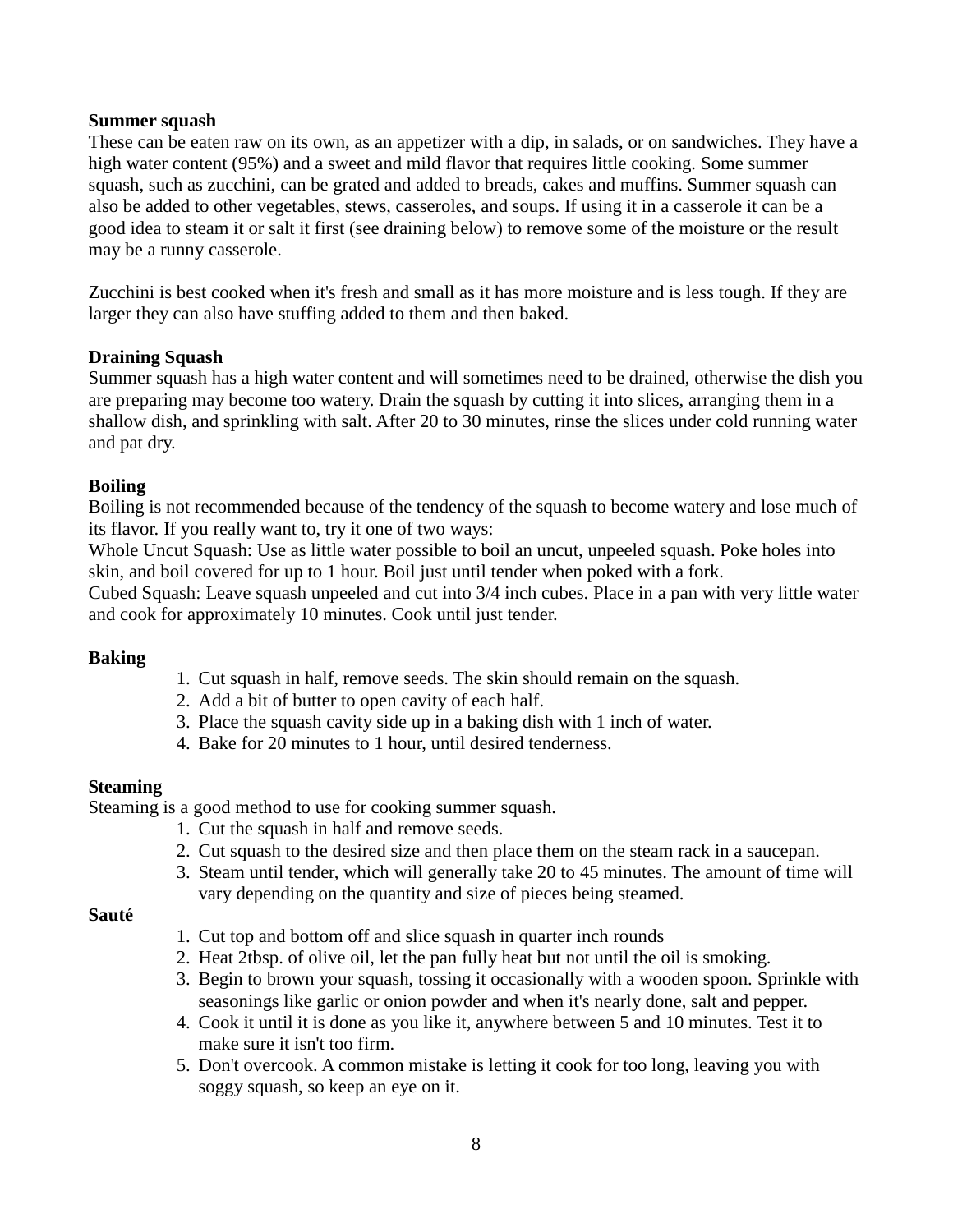#### **Summer squash**

These can be eaten raw on its own, as an appetizer with a dip, in salads, or on sandwiches. They have a high water content (95%) and a sweet and mild flavor that requires little cooking. Some summer squash, such as zucchini, can be grated and added to breads, cakes and muffins. Summer squash can also be added to other vegetables, stews, casseroles, and soups. If using it in a casserole it can be a good idea to steam it or salt it first (see draining below) to remove some of the moisture or the result may be a runny casserole.

Zucchini is best cooked when it's fresh and small as it has more moisture and is less tough. If they are larger they can also have stuffing added to them and then baked.

#### **Draining Squash**

Summer squash has a high water content and will sometimes need to be drained, otherwise the dish you are preparing may become too watery. Drain the squash by cutting it into slices, arranging them in a shallow dish, and sprinkling with salt. After 20 to 30 minutes, rinse the slices under cold running water and pat dry.

#### **Boiling**

Boiling is not recommended because of the tendency of the squash to become watery and lose much of its flavor. If you really want to, try it one of two ways:

Whole Uncut Squash: Use as little water possible to boil an uncut, unpeeled squash. Poke holes into skin, and boil covered for up to 1 hour. Boil just until tender when poked with a fork.

Cubed Squash: Leave squash unpeeled and cut into 3/4 inch cubes. Place in a pan with very little water and cook for approximately 10 minutes. Cook until just tender.

# **Baking**

- 1. Cut squash in half, remove seeds. The skin should remain on the squash.
- 2. Add a bit of butter to open cavity of each half.
- 3. Place the squash cavity side up in a baking dish with 1 inch of water.
- 4. Bake for 20 minutes to 1 hour, until desired tenderness.

# **Steaming**

Steaming is a good method to use for cooking summer squash.

- 1. Cut the squash in half and remove seeds.
- 2. Cut squash to the desired size and then place them on the steam rack in a saucepan.
- 3. Steam until tender, which will generally take 20 to 45 minutes. The amount of time will vary depending on the quantity and size of pieces being steamed.

# **Sauté**

- 1. Cut top and bottom off and slice squash in quarter inch rounds
- 2. Heat 2tbsp. of olive oil, let the pan fully heat but not until the oil is smoking.
- 3. Begin to brown your squash, tossing it occasionally with a wooden spoon. Sprinkle with seasonings like garlic or onion powder and when it's nearly done, salt and pepper.
- 4. Cook it until it is done as you like it, anywhere between 5 and 10 minutes. Test it to make sure it isn't too firm.
- 5. Don't overcook. A common mistake is letting it cook for too long, leaving you with soggy squash, so keep an eye on it.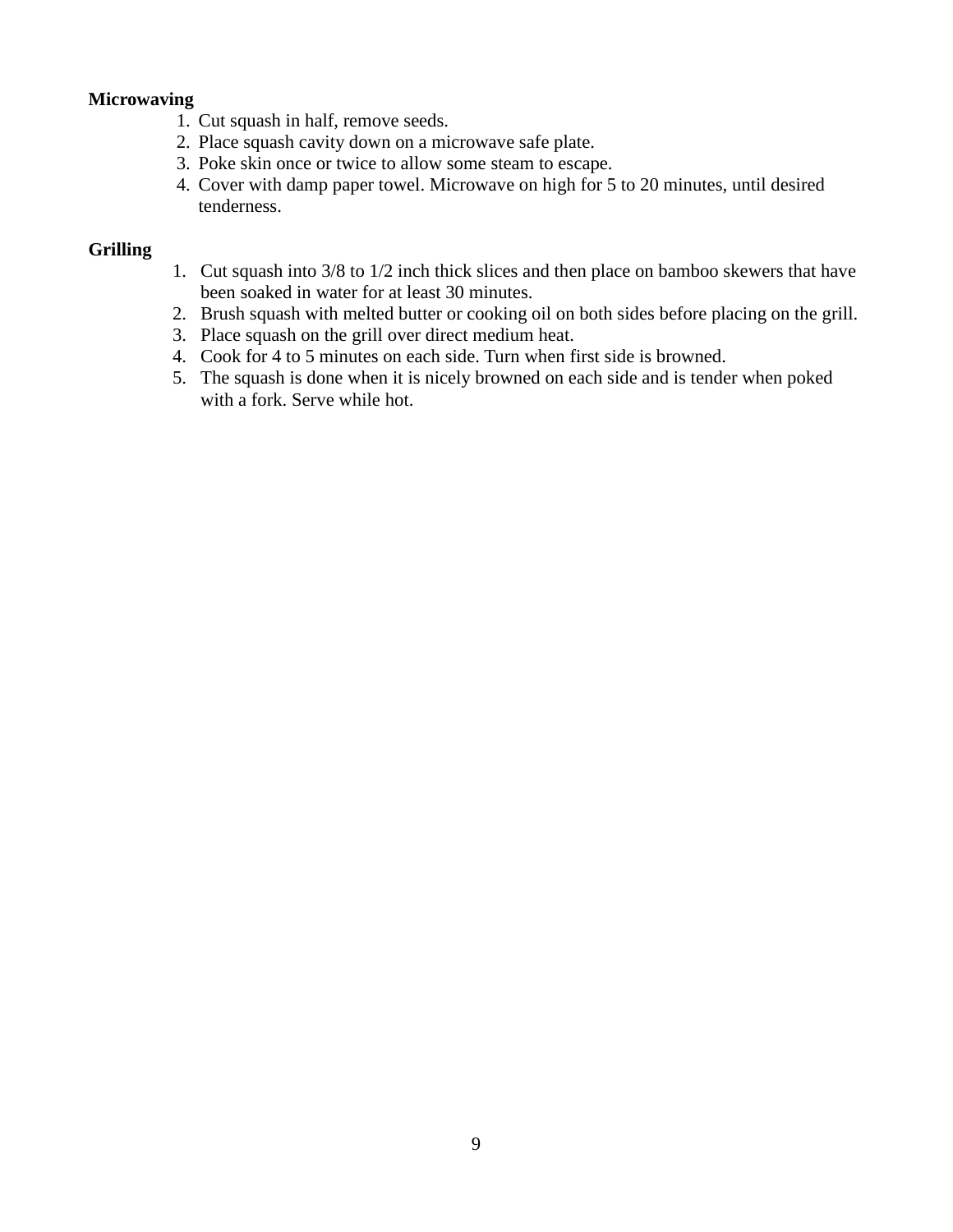# **Microwaving**

- 1. Cut squash in half, remove seeds.
- 2. Place squash cavity down on a microwave safe plate.
- 3. Poke skin once or twice to allow some steam to escape.
- 4. Cover with damp paper towel. Microwave on high for 5 to 20 minutes, until desired tenderness.

# **Grilling**

- 1. Cut squash into 3/8 to 1/2 inch thick slices and then place on bamboo skewers that have been soaked in water for at least 30 minutes.
- 2. Brush squash with melted butter or cooking oil on both sides before placing on the grill.
- 3. Place squash on the grill over direct medium heat.
- 4. Cook for 4 to 5 minutes on each side. Turn when first side is browned.
- 5. The squash is done when it is nicely browned on each side and is tender when poked with a fork. Serve while hot.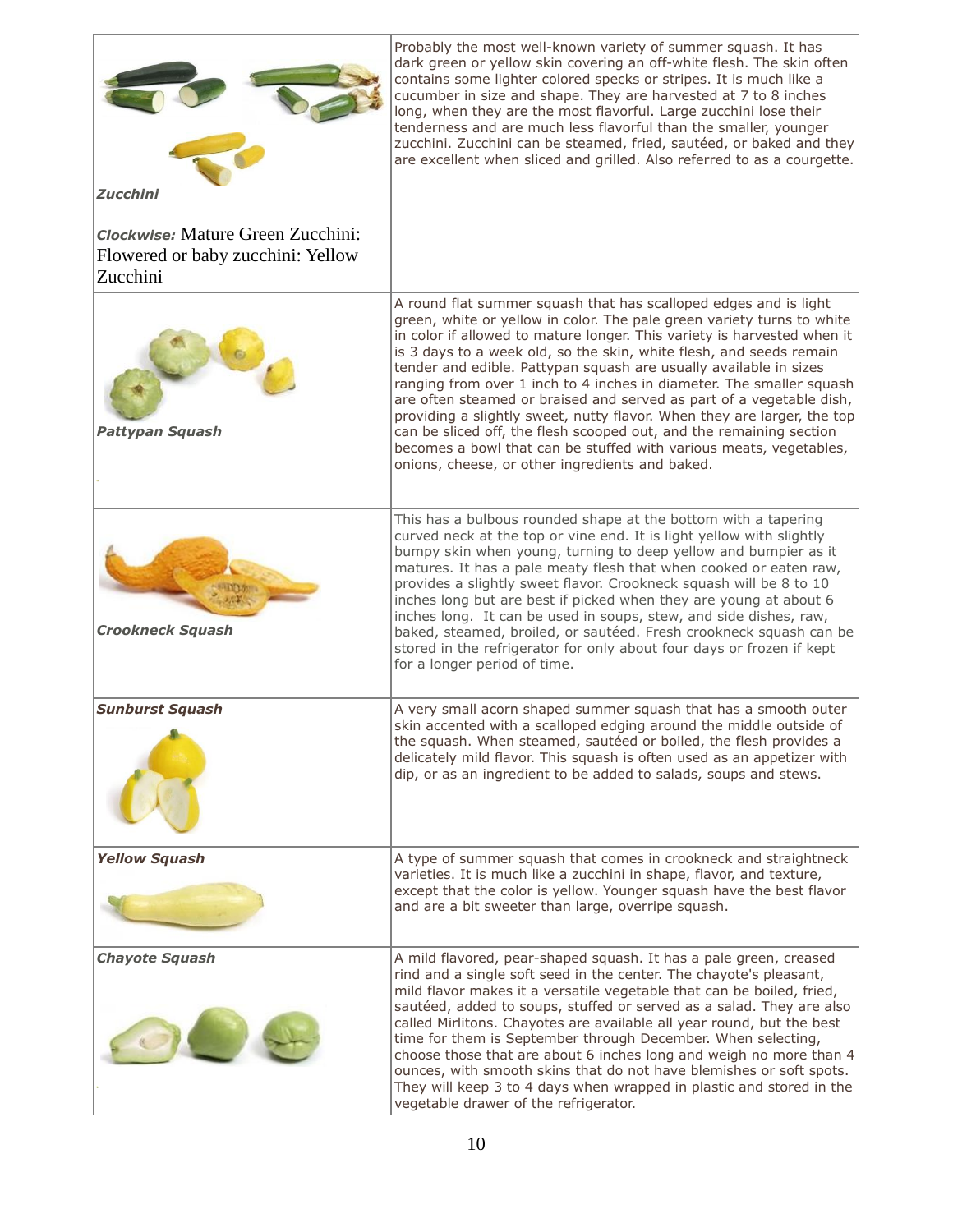|                                                                                    | Probably the most well-known variety of summer squash. It has<br>dark green or yellow skin covering an off-white flesh. The skin often<br>contains some lighter colored specks or stripes. It is much like a<br>cucumber in size and shape. They are harvested at 7 to 8 inches<br>long, when they are the most flavorful. Large zucchini lose their<br>tenderness and are much less flavorful than the smaller, younger<br>zucchini. Zucchini can be steamed, fried, sautéed, or baked and they<br>are excellent when sliced and grilled. Also referred to as a courgette.                                                                                                                                                                                                                  |
|------------------------------------------------------------------------------------|----------------------------------------------------------------------------------------------------------------------------------------------------------------------------------------------------------------------------------------------------------------------------------------------------------------------------------------------------------------------------------------------------------------------------------------------------------------------------------------------------------------------------------------------------------------------------------------------------------------------------------------------------------------------------------------------------------------------------------------------------------------------------------------------|
| <b>Zucchini</b>                                                                    |                                                                                                                                                                                                                                                                                                                                                                                                                                                                                                                                                                                                                                                                                                                                                                                              |
| Clockwise: Mature Green Zucchini:<br>Flowered or baby zucchini: Yellow<br>Zucchini |                                                                                                                                                                                                                                                                                                                                                                                                                                                                                                                                                                                                                                                                                                                                                                                              |
| <b>Pattypan Squash</b>                                                             | A round flat summer squash that has scalloped edges and is light<br>green, white or yellow in color. The pale green variety turns to white<br>in color if allowed to mature longer. This variety is harvested when it<br>is 3 days to a week old, so the skin, white flesh, and seeds remain<br>tender and edible. Pattypan squash are usually available in sizes<br>ranging from over 1 inch to 4 inches in diameter. The smaller squash<br>are often steamed or braised and served as part of a vegetable dish,<br>providing a slightly sweet, nutty flavor. When they are larger, the top<br>can be sliced off, the flesh scooped out, and the remaining section<br>becomes a bowl that can be stuffed with various meats, vegetables,<br>onions, cheese, or other ingredients and baked. |
| <b>Crookneck Squash</b>                                                            | This has a bulbous rounded shape at the bottom with a tapering<br>curved neck at the top or vine end. It is light yellow with slightly<br>bumpy skin when young, turning to deep yellow and bumpier as it<br>matures. It has a pale meaty flesh that when cooked or eaten raw,<br>provides a slightly sweet flavor. Crookneck squash will be 8 to 10<br>inches long but are best if picked when they are young at about 6<br>inches long. It can be used in soups, stew, and side dishes, raw,<br>baked, steamed, broiled, or sautéed. Fresh crookneck squash can be<br>stored in the refrigerator for only about four days or frozen if kept<br>for a longer period of time.                                                                                                                |
| <b>Sunburst Squash</b>                                                             | A very small acorn shaped summer squash that has a smooth outer<br>skin accented with a scalloped edging around the middle outside of<br>the squash. When steamed, sautéed or boiled, the flesh provides a<br>delicately mild flavor. This squash is often used as an appetizer with<br>dip, or as an ingredient to be added to salads, soups and stews.                                                                                                                                                                                                                                                                                                                                                                                                                                     |
| <b>Yellow Squash</b>                                                               | A type of summer squash that comes in crookneck and straightneck<br>varieties. It is much like a zucchini in shape, flavor, and texture,<br>except that the color is yellow. Younger squash have the best flavor<br>and are a bit sweeter than large, overripe squash.                                                                                                                                                                                                                                                                                                                                                                                                                                                                                                                       |
| <b>Chayote Squash</b>                                                              | A mild flavored, pear-shaped squash. It has a pale green, creased<br>rind and a single soft seed in the center. The chayote's pleasant,<br>mild flavor makes it a versatile vegetable that can be boiled, fried,<br>sautéed, added to soups, stuffed or served as a salad. They are also<br>called Mirlitons. Chayotes are available all year round, but the best<br>time for them is September through December. When selecting,<br>choose those that are about 6 inches long and weigh no more than 4<br>ounces, with smooth skins that do not have blemishes or soft spots.<br>They will keep 3 to 4 days when wrapped in plastic and stored in the<br>vegetable drawer of the refrigerator.                                                                                              |